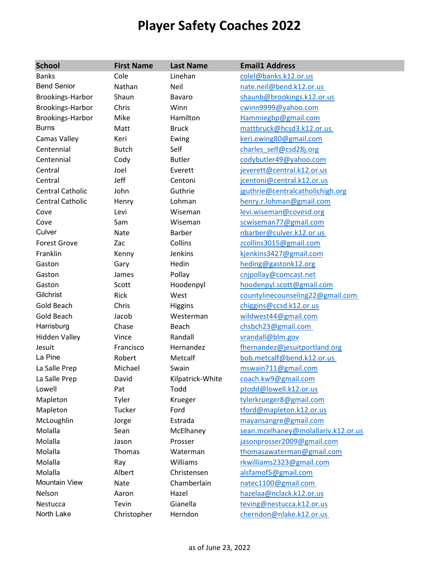## **Player Safety Coaches 2022**

| <b>School</b>           | <b>First Name</b> | <b>Last Name</b> | <b>Email1 Address</b>               |
|-------------------------|-------------------|------------------|-------------------------------------|
| <b>Banks</b>            | Cole              | Linehan          | colel@banks.k12.or.us               |
| <b>Bend Senior</b>      | Nathan            | Neil             | nate.neil@bend.k12.or.us            |
| Brookings-Harbor        | Shaun             | Bavaro           | shaunb@brookings.k12.or.us          |
| Brookings-Harbor        | Chris             | Winn             | cwinn9999@yahoo.com                 |
| Brookings-Harbor        | Mike              | Hamilton         | Hammiegbp@gmail.com                 |
| <b>Burns</b>            | Matt              | <b>Bruck</b>     | mattbruck@hcsd3.k12.or.us           |
| Camas Valley            | Keri              | Ewing            | keri.ewing80@gmail.com              |
| Centennial              | <b>Butch</b>      | Self             | charles self@csd28j.org             |
| Centennial              | Cody              | <b>Butler</b>    | codybutler49@yahoo.com              |
| Central                 | Joel              | Everett          | jeverett@central.k12.or.us          |
| Central                 | Jeff              | Centoni          | jcentoni@central.k12.or.us          |
| <b>Central Catholic</b> | John              | Guthrie          | jguthrie@centralcatholichigh.org    |
| <b>Central Catholic</b> | Henry             | Lohman           | henry.r.lohman@gmail.com            |
| Cove                    | Levi              | Wiseman          | levi.wiseman@covesd.org             |
| Cove                    | Sam               | Wiseman          | scwiseman77@gmail.com               |
| Culver                  | Nate              | <b>Barber</b>    | nbarber@culver.k12.or.us            |
| <b>Forest Grove</b>     | Zac               | Collins          | zcollins3015@gmail.com              |
| Franklin                | Kenny             | Jenkins          | kjenkins3427@gmail.com              |
| Gaston                  | Gary              | Hedin            | heding@gastonk12.org                |
| Gaston                  | James             | Pollay           | cnjpollay@comcast.net               |
| Gaston                  | Scott             | Hoodenpyl        | hoodenpyl.scott@gmail.com           |
| Gilchrist               | Rick              | West             | countylinecounseling22@gmail.com    |
| <b>Gold Beach</b>       | Chris             | <b>Higgins</b>   | chiggins@ccsd.k12.or.us             |
| Gold Beach              | Jacob             | Westerman        | wildwest44@gmail.com                |
| Harrisburg              | Chase             | Beach            | chsbch23@gmail.com                  |
| <b>Hidden Valley</b>    | Vince             | Randall          | vrandall@blm.gov                    |
| Jesuit                  | Francisco         | Hernandez        | fhernandez@jesuitportland.org       |
| La Pine                 | Robert            | Metcalf          | bob.metcalf@bend.k12.or.us          |
| La Salle Prep           | Michael           | Swain            | mswain711@gmail.com                 |
| La Salle Prep           | David             | Kilpatrick-White | coach.kw9@gmail.com                 |
| Lowell                  | Pat               | Todd             | ptodd@lowell.k12.or.us              |
| Mapleton                | Tyler             | Krueger          | tylerkrueger8@gmail.com             |
| Mapleton                | Tucker            | Ford             | tford@mapleton.k12.or.us            |
| McLoughlin              | Jorge             | Estrada          | mayansangre@gmail.com               |
| Molalla                 | Sean              | McElhaney        | sean.mcelhaney@molallariv.k12.or.us |
| Molalla                 | Jason             | Prosser          | jasonprosser2009@gmail.com          |
| Molalla                 | Thomas            | Waterman         | thomasawaterman@gmail.com           |
| Molalla                 | Ray               | Williams         | rkwilliams2323@gmail.com            |
| Molalla                 | Albert            | Christensen      | alsfamof5@gmail.com                 |
| <b>Mountain View</b>    | Nate              | Chamberlain      | natec1100@gmail.com                 |
| Nelson                  | Aaron             | Hazel            | hazelaa@nclack.k12.or.us            |
| Nestucca                | Tevin             | Gianella         | teving@nestucca.k12.or.us           |
| North Lake              | Christopher       | Herndon          | cherndon@nlake.k12.or.us            |